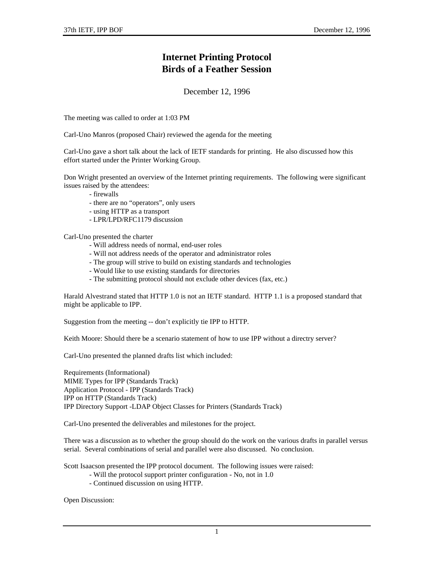## **Internet Printing Protocol Birds of a Feather Session**

## December 12, 1996

The meeting was called to order at 1:03 PM

Carl-Uno Manros (proposed Chair) reviewed the agenda for the meeting

Carl-Uno gave a short talk about the lack of IETF standards for printing. He also discussed how this effort started under the Printer Working Group.

Don Wright presented an overview of the Internet printing requirements. The following were significant issues raised by the attendees:

- firewalls

- there are no "operators", only users
- using HTTP as a transport
- LPR/LPD/RFC1179 discussion

Carl-Uno presented the charter

- Will address needs of normal, end-user roles
- Will not address needs of the operator and administrator roles
- The group will strive to build on existing standards and technologies
- Would like to use existing standards for directories
- The submitting protocol should not exclude other devices (fax, etc.)

Harald Alvestrand stated that HTTP 1.0 is not an IETF standard. HTTP 1.1 is a proposed standard that might be applicable to IPP.

Suggestion from the meeting -- don't explicitly tie IPP to HTTP.

Keith Moore: Should there be a scenario statement of how to use IPP without a directry server?

Carl-Uno presented the planned drafts list which included:

Requirements (Informational) MIME Types for IPP (Standards Track) Application Protocol - IPP (Standards Track) IPP on HTTP (Standards Track) IPP Directory Support -LDAP Object Classes for Printers (Standards Track)

Carl-Uno presented the deliverables and milestones for the project.

There was a discussion as to whether the group should do the work on the various drafts in parallel versus serial. Several combinations of serial and parallel were also discussed. No conclusion.

Scott Isaacson presented the IPP protocol document. The following issues were raised:

- Will the protocol support printer configuration No, not in 1.0
- Continued discussion on using HTTP.

Open Discussion: